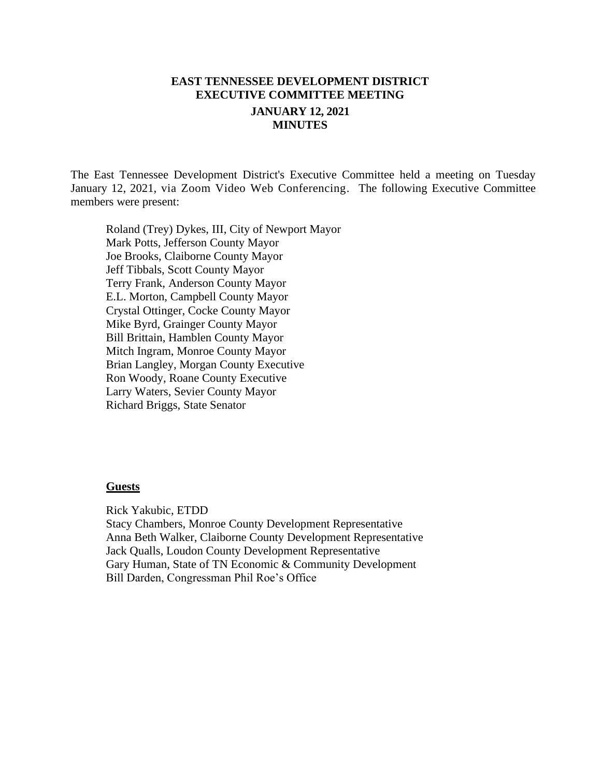# **EAST TENNESSEE DEVELOPMENT DISTRICT EXECUTIVE COMMITTEE MEETING JANUARY 12, 2021 MINUTES**

The East Tennessee Development District's Executive Committee held a meeting on Tuesday January 12, 2021, via Zoom Video Web Conferencing. The following Executive Committee members were present:

Roland (Trey) Dykes, III, City of Newport Mayor Mark Potts, Jefferson County Mayor Joe Brooks, Claiborne County Mayor Jeff Tibbals, Scott County Mayor Terry Frank, Anderson County Mayor E.L. Morton, Campbell County Mayor Crystal Ottinger, Cocke County Mayor Mike Byrd, Grainger County Mayor Bill Brittain, Hamblen County Mayor Mitch Ingram, Monroe County Mayor Brian Langley, Morgan County Executive Ron Woody, Roane County Executive Larry Waters, Sevier County Mayor Richard Briggs, State Senator

#### **Guests**

Rick Yakubic, ETDD Stacy Chambers, Monroe County Development Representative Anna Beth Walker, Claiborne County Development Representative Jack Qualls, Loudon County Development Representative Gary Human, State of TN Economic & Community Development Bill Darden, Congressman Phil Roe's Office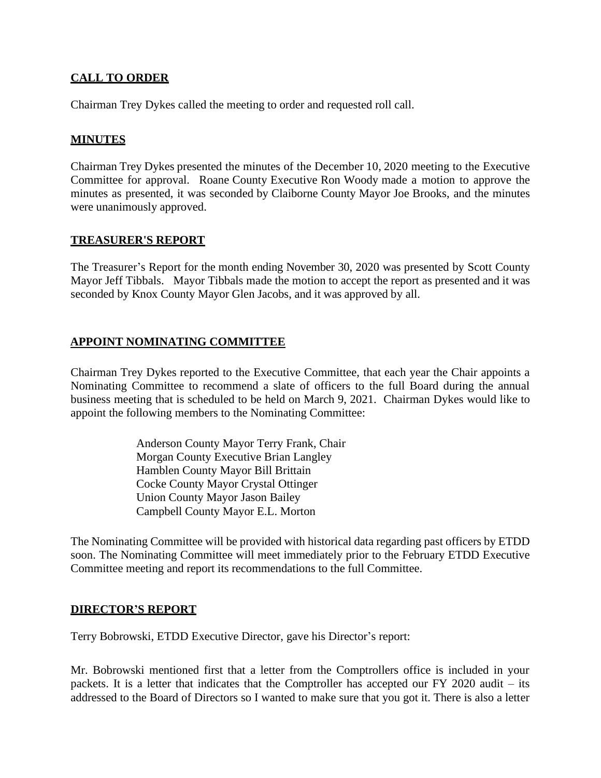## **CALL TO ORDER**

Chairman Trey Dykes called the meeting to order and requested roll call.

### **MINUTES**

Chairman Trey Dykes presented the minutes of the December 10, 2020 meeting to the Executive Committee for approval. Roane County Executive Ron Woody made a motion to approve the minutes as presented, it was seconded by Claiborne County Mayor Joe Brooks, and the minutes were unanimously approved.

#### **TREASURER'S REPORT**

The Treasurer's Report for the month ending November 30, 2020 was presented by Scott County Mayor Jeff Tibbals. Mayor Tibbals made the motion to accept the report as presented and it was seconded by Knox County Mayor Glen Jacobs, and it was approved by all.

## **APPOINT NOMINATING COMMITTEE**

Chairman Trey Dykes reported to the Executive Committee, that each year the Chair appoints a Nominating Committee to recommend a slate of officers to the full Board during the annual business meeting that is scheduled to be held on March 9, 2021. Chairman Dykes would like to appoint the following members to the Nominating Committee:

> Anderson County Mayor Terry Frank, Chair Morgan County Executive Brian Langley Hamblen County Mayor Bill Brittain Cocke County Mayor Crystal Ottinger Union County Mayor Jason Bailey Campbell County Mayor E.L. Morton

The Nominating Committee will be provided with historical data regarding past officers by ETDD soon. The Nominating Committee will meet immediately prior to the February ETDD Executive Committee meeting and report its recommendations to the full Committee.

#### **DIRECTOR'S REPORT**

Terry Bobrowski, ETDD Executive Director, gave his Director's report:

Mr. Bobrowski mentioned first that a letter from the Comptrollers office is included in your packets. It is a letter that indicates that the Comptroller has accepted our FY 2020 audit – its addressed to the Board of Directors so I wanted to make sure that you got it. There is also a letter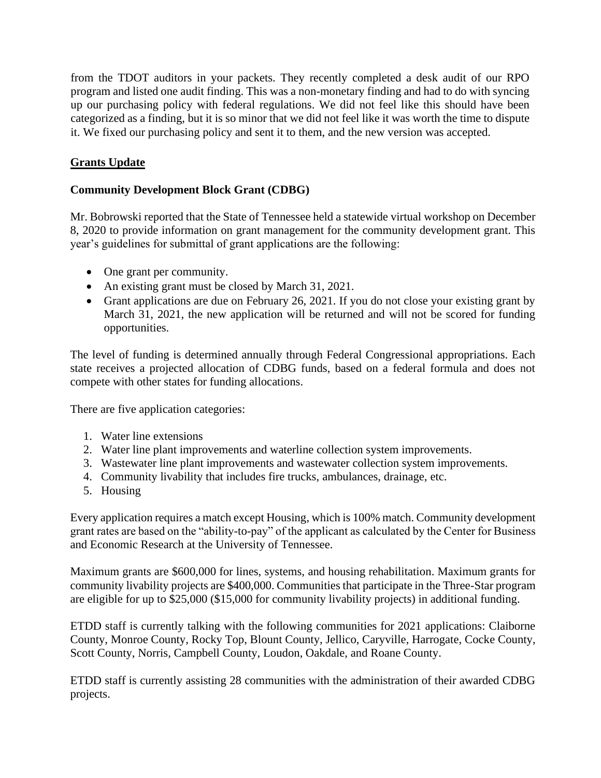from the TDOT auditors in your packets. They recently completed a desk audit of our RPO program and listed one audit finding. This was a non-monetary finding and had to do with syncing up our purchasing policy with federal regulations. We did not feel like this should have been categorized as a finding, but it is so minor that we did not feel like it was worth the time to dispute it. We fixed our purchasing policy and sent it to them, and the new version was accepted.

## **Grants Update**

## **Community Development Block Grant (CDBG)**

Mr. Bobrowski reported that the State of Tennessee held a statewide virtual workshop on December 8, 2020 to provide information on grant management for the community development grant. This year's guidelines for submittal of grant applications are the following:

- One grant per community.
- An existing grant must be closed by March 31, 2021.
- Grant applications are due on February 26, 2021. If you do not close your existing grant by March 31, 2021, the new application will be returned and will not be scored for funding opportunities.

The level of funding is determined annually through Federal Congressional appropriations. Each state receives a projected allocation of CDBG funds, based on a federal formula and does not compete with other states for funding allocations.

There are five application categories:

- 1. Water line extensions
- 2. Water line plant improvements and waterline collection system improvements.
- 3. Wastewater line plant improvements and wastewater collection system improvements.
- 4. Community livability that includes fire trucks, ambulances, drainage, etc.
- 5. Housing

Every application requires a match except Housing, which is 100% match. Community development grant rates are based on the "ability-to-pay" of the applicant as calculated by the Center for Business and Economic Research at the University of Tennessee.

Maximum grants are \$600,000 for lines, systems, and housing rehabilitation. Maximum grants for community livability projects are \$400,000. Communities that participate in the Three-Star program are eligible for up to \$25,000 (\$15,000 for community livability projects) in additional funding.

ETDD staff is currently talking with the following communities for 2021 applications: Claiborne County, Monroe County, Rocky Top, Blount County, Jellico, Caryville, Harrogate, Cocke County, Scott County, Norris, Campbell County, Loudon, Oakdale, and Roane County.

ETDD staff is currently assisting 28 communities with the administration of their awarded CDBG projects.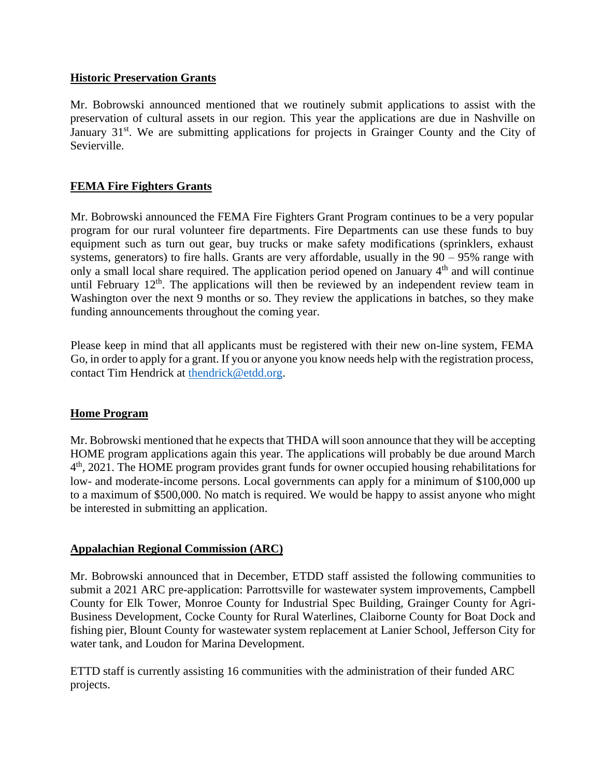### **Historic Preservation Grants**

Mr. Bobrowski announced mentioned that we routinely submit applications to assist with the preservation of cultural assets in our region. This year the applications are due in Nashville on January 31<sup>st</sup>. We are submitting applications for projects in Grainger County and the City of Sevierville.

## **FEMA Fire Fighters Grants**

Mr. Bobrowski announced the FEMA Fire Fighters Grant Program continues to be a very popular program for our rural volunteer fire departments. Fire Departments can use these funds to buy equipment such as turn out gear, buy trucks or make safety modifications (sprinklers, exhaust systems, generators) to fire halls. Grants are very affordable, usually in the 90 – 95% range with only a small local share required. The application period opened on January  $4<sup>th</sup>$  and will continue until February  $12<sup>th</sup>$ . The applications will then be reviewed by an independent review team in Washington over the next 9 months or so. They review the applications in batches, so they make funding announcements throughout the coming year.

Please keep in mind that all applicants must be registered with their new on-line system, FEMA Go, in order to apply for a grant. If you or anyone you know needs help with the registration process, contact Tim Hendrick at [thendrick@etdd.org.](mailto:thendrick@etdd.org)

## **Home Program**

Mr. Bobrowski mentioned that he expects that THDA will soon announce that they will be accepting HOME program applications again this year. The applications will probably be due around March 4<sup>th</sup>, 2021. The HOME program provides grant funds for owner occupied housing rehabilitations for low- and moderate-income persons. Local governments can apply for a minimum of \$100,000 up to a maximum of \$500,000. No match is required. We would be happy to assist anyone who might be interested in submitting an application.

## **Appalachian Regional Commission (ARC)**

Mr. Bobrowski announced that in December, ETDD staff assisted the following communities to submit a 2021 ARC pre-application: Parrottsville for wastewater system improvements, Campbell County for Elk Tower, Monroe County for Industrial Spec Building, Grainger County for Agri-Business Development, Cocke County for Rural Waterlines, Claiborne County for Boat Dock and fishing pier, Blount County for wastewater system replacement at Lanier School, Jefferson City for water tank, and Loudon for Marina Development.

ETTD staff is currently assisting 16 communities with the administration of their funded ARC projects.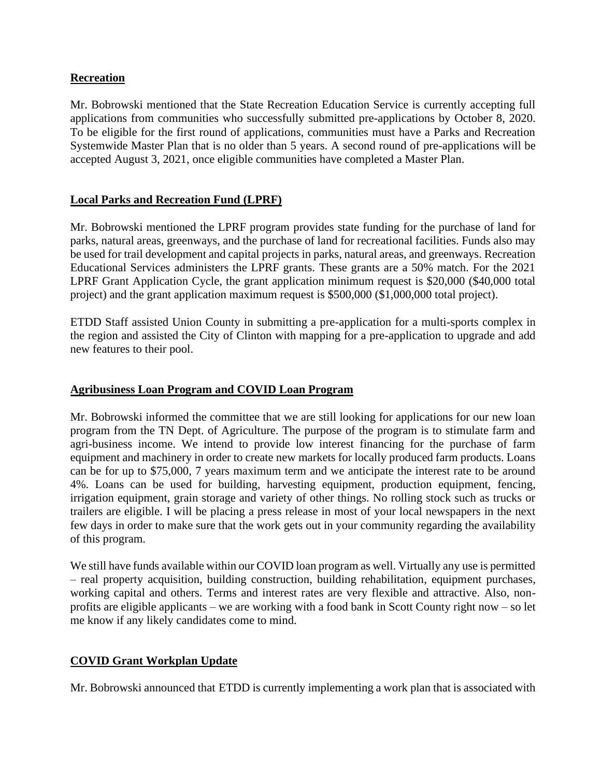### **Recreation**

Mr. Bobrowski mentioned that the State Recreation Education Service is currently accepting full applications from communities who successfully submitted pre-applications by October 8, 2020. To be eligible for the first round of applications, communities must have a Parks and Recreation Systemwide Master Plan that is no older than 5 years. A second round of pre-applications will be accepted August 3, 2021, once eligible communities have completed a Master Plan.

## **Local Parks and Recreation Fund (LPRF)**

Mr. Bobrowski mentioned the LPRF program provides state funding for the purchase of land for parks, natural areas, greenways, and the purchase of land for recreational facilities. Funds also may be used for trail development and capital projects in parks, natural areas, and greenways. Recreation Educational Services administers the LPRF grants. These grants are a 50% match. For the 2021 LPRF Grant Application Cycle, the grant application minimum request is \$20,000 (\$40,000 total project) and the grant application maximum request is \$500,000 (\$1,000,000 total project).

ETDD Staff assisted Union County in submitting a pre-application for a multi-sports complex in the region and assisted the City of Clinton with mapping for a pre-application to upgrade and add new features to their pool.

#### **Agribusiness Loan Program and COVID Loan Program**

Mr. Bobrowski informed the committee that we are still looking for applications for our new loan program from the TN Dept. of Agriculture. The purpose of the program is to stimulate farm and agri-business income. We intend to provide low interest financing for the purchase of farm equipment and machinery in order to create new markets for locally produced farm products. Loans can be for up to \$75,000, 7 years maximum term and we anticipate the interest rate to be around 4%. Loans can be used for building, harvesting equipment, production equipment, fencing, irrigation equipment, grain storage and variety of other things. No rolling stock such as trucks or trailers are eligible. I will be placing a press release in most of your local newspapers in the next few days in order to make sure that the work gets out in your community regarding the availability of this program.

We still have funds available within our COVID loan program as well. Virtually any use is permitted – real property acquisition, building construction, building rehabilitation, equipment purchases, working capital and others. Terms and interest rates are very flexible and attractive. Also, nonprofits are eligible applicants – we are working with a food bank in Scott County right now – so let me know if any likely candidates come to mind.

## **COVID Grant Workplan Update**

Mr. Bobrowski announced that ETDD is currently implementing a work plan that is associated with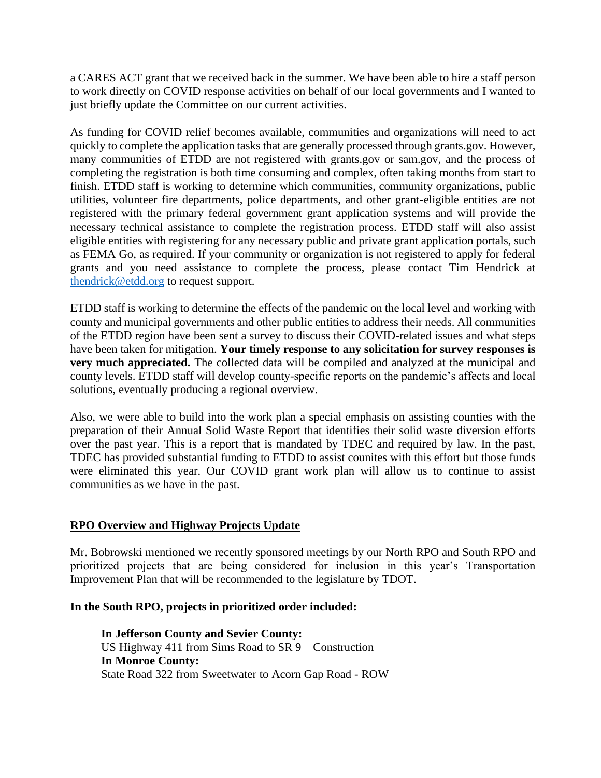a CARES ACT grant that we received back in the summer. We have been able to hire a staff person to work directly on COVID response activities on behalf of our local governments and I wanted to just briefly update the Committee on our current activities.

As funding for COVID relief becomes available, communities and organizations will need to act quickly to complete the application tasks that are generally processed through grants.gov. However, many communities of ETDD are not registered with grants.gov or sam.gov, and the process of completing the registration is both time consuming and complex, often taking months from start to finish. ETDD staff is working to determine which communities, community organizations, public utilities, volunteer fire departments, police departments, and other grant-eligible entities are not registered with the primary federal government grant application systems and will provide the necessary technical assistance to complete the registration process. ETDD staff will also assist eligible entities with registering for any necessary public and private grant application portals, such as FEMA Go, as required. If your community or organization is not registered to apply for federal grants and you need assistance to complete the process, please contact Tim Hendrick at [thendrick@etdd.org](mailto:thendrick@etdd.org) to request support.

ETDD staff is working to determine the effects of the pandemic on the local level and working with county and municipal governments and other public entities to address their needs. All communities of the ETDD region have been sent a survey to discuss their COVID-related issues and what steps have been taken for mitigation. **Your timely response to any solicitation for survey responses is very much appreciated.** The collected data will be compiled and analyzed at the municipal and county levels. ETDD staff will develop county-specific reports on the pandemic's affects and local solutions, eventually producing a regional overview.

Also, we were able to build into the work plan a special emphasis on assisting counties with the preparation of their Annual Solid Waste Report that identifies their solid waste diversion efforts over the past year. This is a report that is mandated by TDEC and required by law. In the past, TDEC has provided substantial funding to ETDD to assist counites with this effort but those funds were eliminated this year. Our COVID grant work plan will allow us to continue to assist communities as we have in the past.

#### **RPO Overview and Highway Projects Update**

Mr. Bobrowski mentioned we recently sponsored meetings by our North RPO and South RPO and prioritized projects that are being considered for inclusion in this year's Transportation Improvement Plan that will be recommended to the legislature by TDOT.

#### **In the South RPO, projects in prioritized order included:**

**In Jefferson County and Sevier County:** US Highway 411 from Sims Road to SR 9 – Construction **In Monroe County:** State Road 322 from Sweetwater to Acorn Gap Road - ROW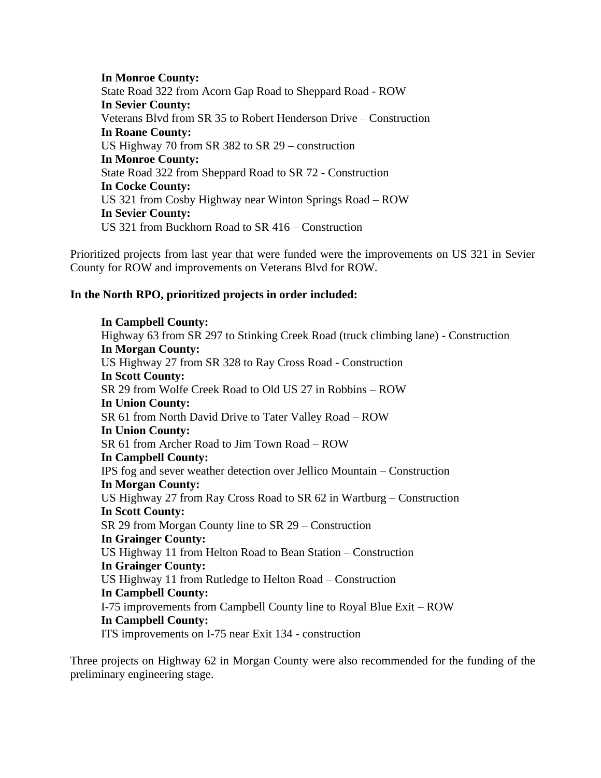**In Monroe County:** State Road 322 from Acorn Gap Road to Sheppard Road - ROW **In Sevier County:** Veterans Blvd from SR 35 to Robert Henderson Drive – Construction **In Roane County:** US Highway 70 from SR 382 to SR 29 – construction **In Monroe County:** State Road 322 from Sheppard Road to SR 72 - Construction **In Cocke County:** US 321 from Cosby Highway near Winton Springs Road – ROW **In Sevier County:** US 321 from Buckhorn Road to SR 416 – Construction

Prioritized projects from last year that were funded were the improvements on US 321 in Sevier County for ROW and improvements on Veterans Blvd for ROW.

#### **In the North RPO, prioritized projects in order included:**

**In Campbell County:** Highway 63 from SR 297 to Stinking Creek Road (truck climbing lane) - Construction **In Morgan County:** US Highway 27 from SR 328 to Ray Cross Road - Construction **In Scott County:** SR 29 from Wolfe Creek Road to Old US 27 in Robbins – ROW **In Union County:** SR 61 from North David Drive to Tater Valley Road – ROW **In Union County:** SR 61 from Archer Road to Jim Town Road – ROW **In Campbell County:** IPS fog and sever weather detection over Jellico Mountain – Construction **In Morgan County:** US Highway 27 from Ray Cross Road to SR 62 in Wartburg – Construction **In Scott County:** SR 29 from Morgan County line to SR 29 – Construction **In Grainger County:** US Highway 11 from Helton Road to Bean Station – Construction **In Grainger County:** US Highway 11 from Rutledge to Helton Road – Construction **In Campbell County:** I-75 improvements from Campbell County line to Royal Blue Exit – ROW **In Campbell County:** ITS improvements on I-75 near Exit 134 - construction

Three projects on Highway 62 in Morgan County were also recommended for the funding of the preliminary engineering stage.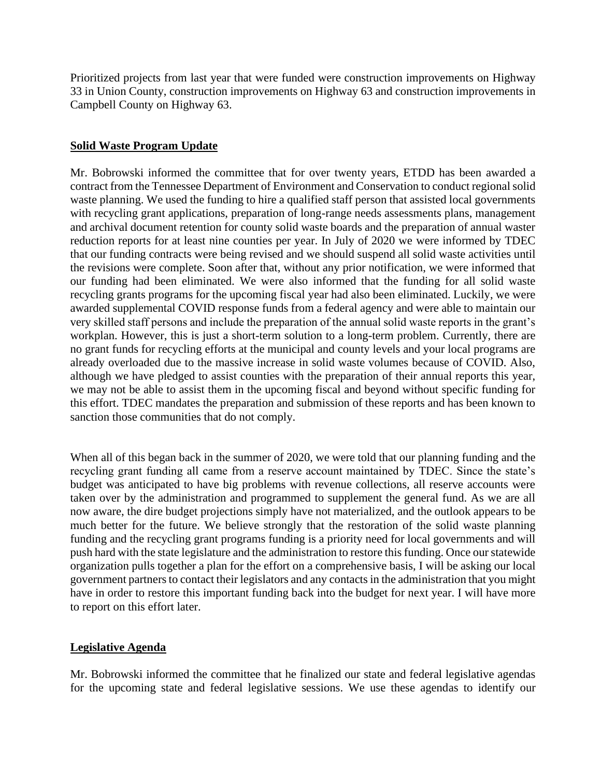Prioritized projects from last year that were funded were construction improvements on Highway 33 in Union County, construction improvements on Highway 63 and construction improvements in Campbell County on Highway 63.

### **Solid Waste Program Update**

Mr. Bobrowski informed the committee that for over twenty years, ETDD has been awarded a contract from the Tennessee Department of Environment and Conservation to conduct regional solid waste planning. We used the funding to hire a qualified staff person that assisted local governments with recycling grant applications, preparation of long-range needs assessments plans, management and archival document retention for county solid waste boards and the preparation of annual waster reduction reports for at least nine counties per year. In July of 2020 we were informed by TDEC that our funding contracts were being revised and we should suspend all solid waste activities until the revisions were complete. Soon after that, without any prior notification, we were informed that our funding had been eliminated. We were also informed that the funding for all solid waste recycling grants programs for the upcoming fiscal year had also been eliminated. Luckily, we were awarded supplemental COVID response funds from a federal agency and were able to maintain our very skilled staff persons and include the preparation of the annual solid waste reports in the grant's workplan. However, this is just a short-term solution to a long-term problem. Currently, there are no grant funds for recycling efforts at the municipal and county levels and your local programs are already overloaded due to the massive increase in solid waste volumes because of COVID. Also, although we have pledged to assist counties with the preparation of their annual reports this year, we may not be able to assist them in the upcoming fiscal and beyond without specific funding for this effort. TDEC mandates the preparation and submission of these reports and has been known to sanction those communities that do not comply.

When all of this began back in the summer of 2020, we were told that our planning funding and the recycling grant funding all came from a reserve account maintained by TDEC. Since the state's budget was anticipated to have big problems with revenue collections, all reserve accounts were taken over by the administration and programmed to supplement the general fund. As we are all now aware, the dire budget projections simply have not materialized, and the outlook appears to be much better for the future. We believe strongly that the restoration of the solid waste planning funding and the recycling grant programs funding is a priority need for local governments and will push hard with the state legislature and the administration to restore this funding. Once our statewide organization pulls together a plan for the effort on a comprehensive basis, I will be asking our local government partners to contact their legislators and any contacts in the administration that you might have in order to restore this important funding back into the budget for next year. I will have more to report on this effort later.

#### **Legislative Agenda**

Mr. Bobrowski informed the committee that he finalized our state and federal legislative agendas for the upcoming state and federal legislative sessions. We use these agendas to identify our